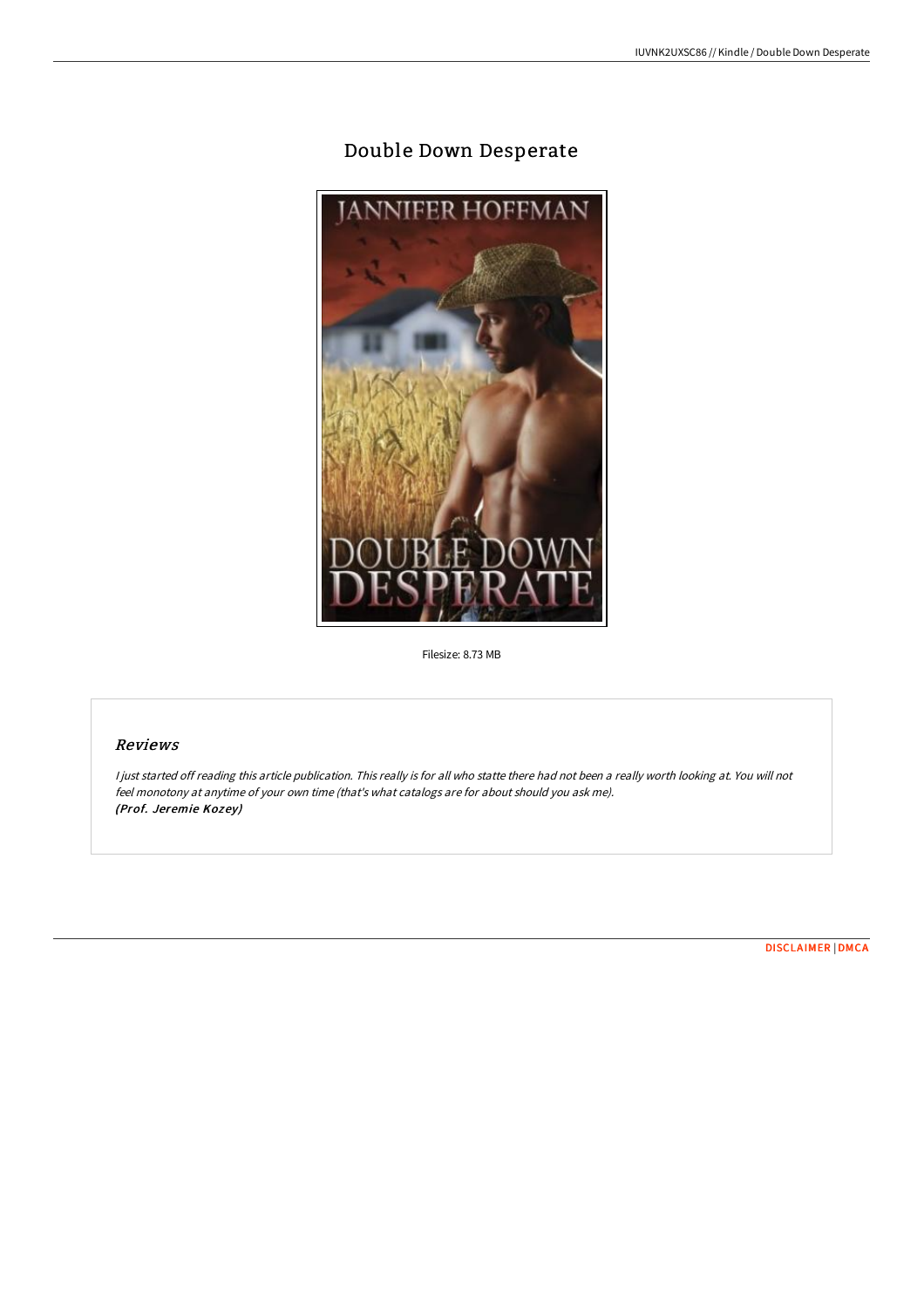# Double Down Desperate



Filesize: 8.73 MB

# Reviews

<sup>I</sup> just started off reading this article publication. This really is for all who statte there had not been <sup>a</sup> really worth looking at. You will not feel monotony at anytime of your own time (that's what catalogs are for about should you ask me). (Prof. Jeremie Kozey)

[DISCLAIMER](http://digilib.live/disclaimer.html) | [DMCA](http://digilib.live/dmca.html)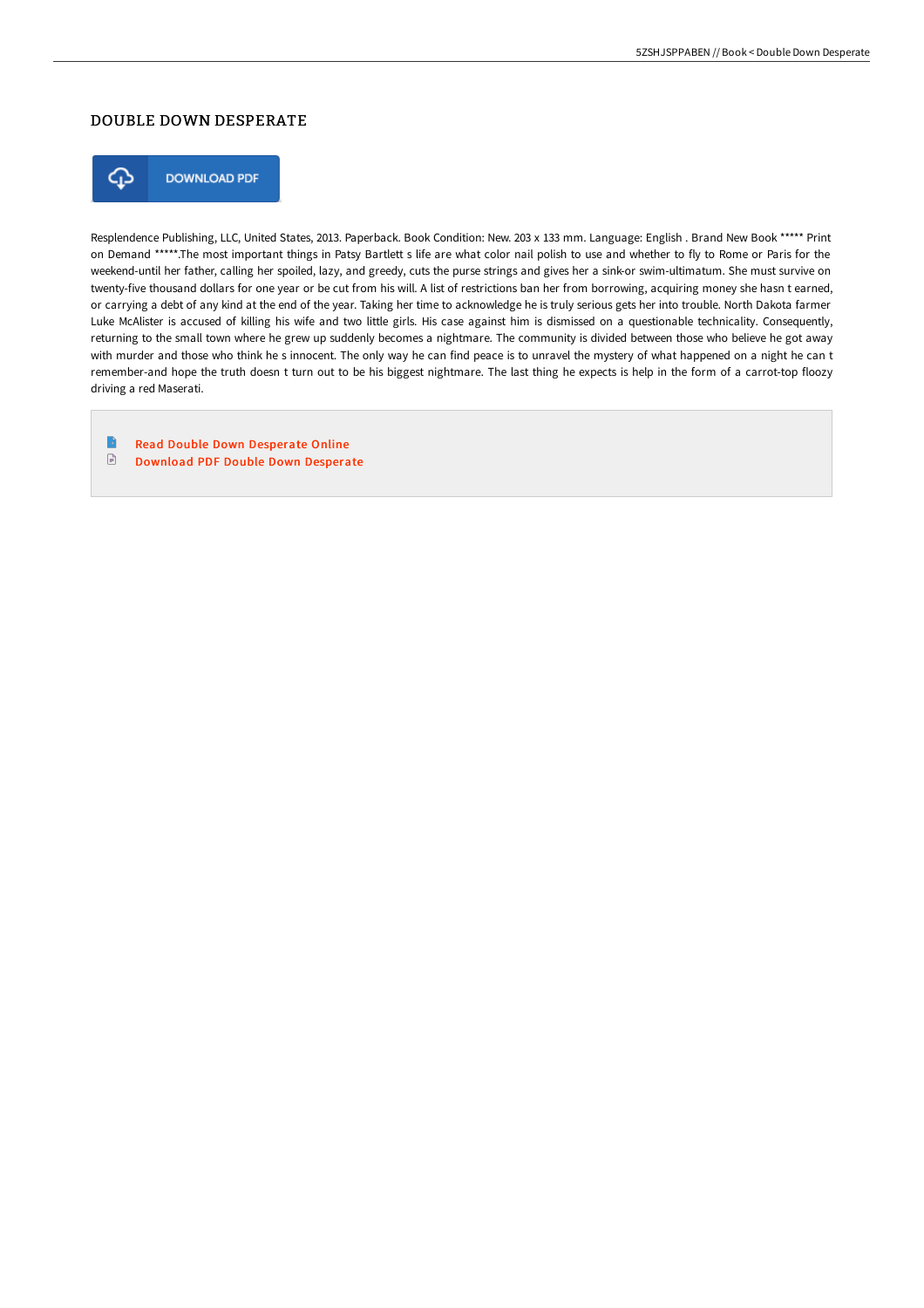## DOUBLE DOWN DESPERATE



**DOWNLOAD PDF** 

Resplendence Publishing, LLC, United States, 2013. Paperback. Book Condition: New. 203 x 133 mm. Language: English . Brand New Book \*\*\*\*\* Print on Demand \*\*\*\*\*.The most important things in Patsy Bartlett s life are what color nail polish to use and whether to fly to Rome or Paris for the weekend-until her father, calling her spoiled, lazy, and greedy, cuts the purse strings and gives her a sink-or swim-ultimatum. She must survive on twenty-five thousand dollars for one year or be cut from his will. A list of restrictions ban her from borrowing, acquiring money she hasn t earned, or carrying a debt of any kind at the end of the year. Taking her time to acknowledge he is truly serious gets her into trouble. North Dakota farmer Luke McAlister is accused of killing his wife and two little girls. His case against him is dismissed on a questionable technicality. Consequently, returning to the small town where he grew up suddenly becomes a nightmare. The community is divided between those who believe he got away with murder and those who think he s innocent. The only way he can find peace is to unravel the mystery of what happened on a night he can t remember-and hope the truth doesn t turn out to be his biggest nightmare. The last thing he expects is help in the form of a carrot-top floozy driving a red Maserati.

 $\blacksquare$ Read Double Down [Desperate](http://digilib.live/double-down-desperate-paperback.html) Online  $\textcolor{red}{\blacksquare}$ [Download](http://digilib.live/double-down-desperate-paperback.html) PDF Double Down Desperate